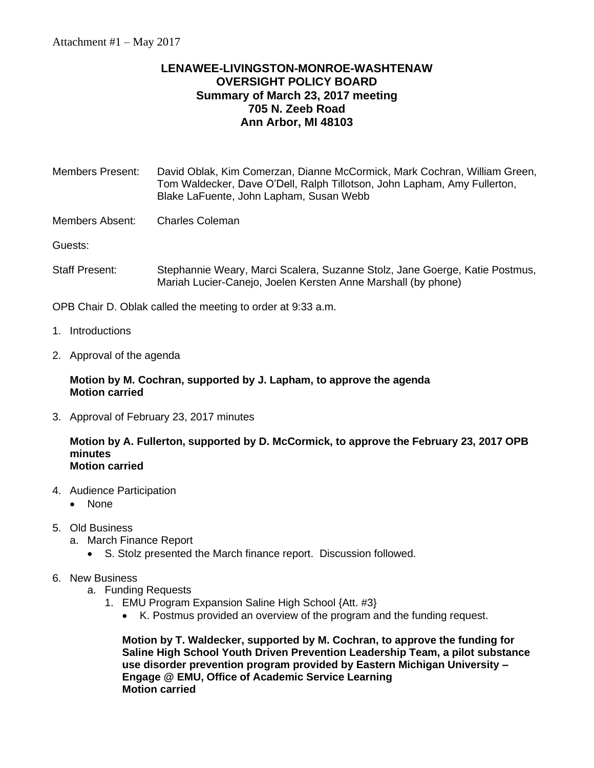## **LENAWEE-LIVINGSTON-MONROE-WASHTENAW OVERSIGHT POLICY BOARD Summary of March 23, 2017 meeting 705 N. Zeeb Road Ann Arbor, MI 48103**

| Members Present: | David Oblak, Kim Comerzan, Dianne McCormick, Mark Cochran, William Green, |
|------------------|---------------------------------------------------------------------------|
|                  | Tom Waldecker, Dave O'Dell, Ralph Tillotson, John Lapham, Amy Fullerton,  |
|                  | Blake LaFuente, John Lapham, Susan Webb                                   |
|                  |                                                                           |

Members Absent: Charles Coleman

Guests:

Staff Present: Stephannie Weary, Marci Scalera, Suzanne Stolz, Jane Goerge, Katie Postmus, Mariah Lucier-Canejo, Joelen Kersten Anne Marshall (by phone)

OPB Chair D. Oblak called the meeting to order at 9:33 a.m.

- 1. Introductions
- 2. Approval of the agenda

## **Motion by M. Cochran, supported by J. Lapham, to approve the agenda Motion carried**

3. Approval of February 23, 2017 minutes

## **Motion by A. Fullerton, supported by D. McCormick, to approve the February 23, 2017 OPB minutes Motion carried**

- 4. Audience Participation
	- None
- 5. Old Business
	- a. March Finance Report
		- S. Stolz presented the March finance report. Discussion followed.
- 6. New Business
	- a. Funding Requests
		- 1. EMU Program Expansion Saline High School {Att. #3}
			- K. Postmus provided an overview of the program and the funding request.

**Motion by T. Waldecker, supported by M. Cochran, to approve the funding for Saline High School Youth Driven Prevention Leadership Team, a pilot substance use disorder prevention program provided by Eastern Michigan University – Engage @ EMU, Office of Academic Service Learning Motion carried**